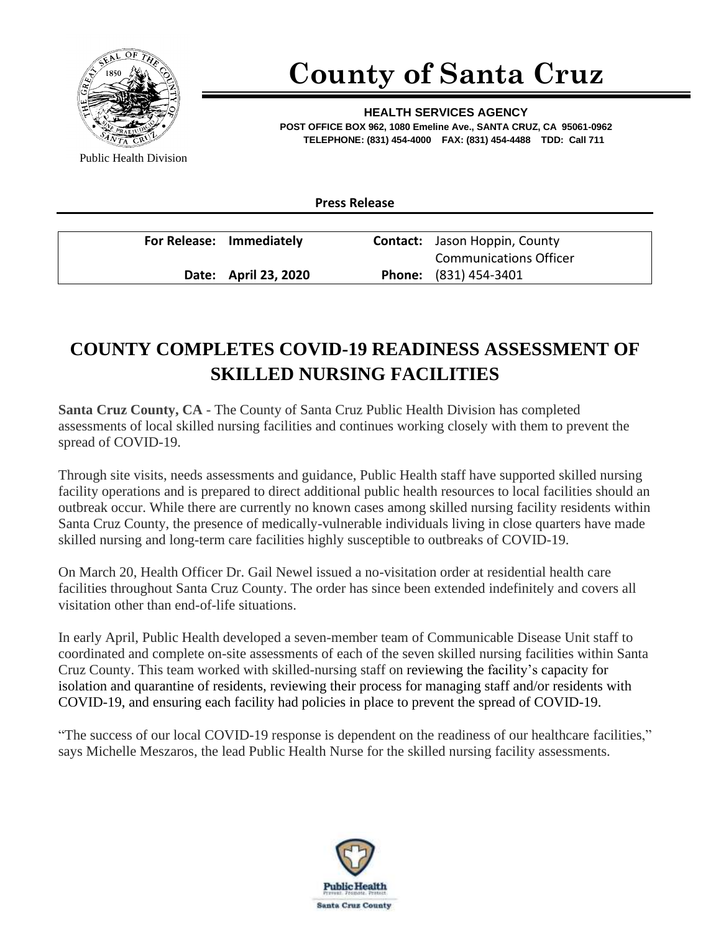

## **County of Santa Cruz**

**HEALTH SERVICES AGENCY POST OFFICE BOX 962, 1080 Emeline Ave., SANTA CRUZ, CA 95061-0962 TELEPHONE: (831) 454-4000 FAX: (831) 454-4488 TDD: Call 711**

Public Health Division

| For Release: Immediately | <b>Contact:</b> Jason Hoppin, County |
|--------------------------|--------------------------------------|
|                          | <b>Communications Officer</b>        |
| Date: April 23, 2020     | <b>Phone:</b> (831) 454-3401         |

**Press Release**

## **COUNTY COMPLETES COVID-19 READINESS ASSESSMENT OF SKILLED NURSING FACILITIES**

**Santa Cruz County, CA -** The County of Santa Cruz Public Health Division has completed assessments of local skilled nursing facilities and continues working closely with them to prevent the spread of COVID-19.

Through site visits, needs assessments and guidance, Public Health staff have supported skilled nursing facility operations and is prepared to direct additional public health resources to local facilities should an outbreak occur. While there are currently no known cases among skilled nursing facility residents within Santa Cruz County, the presence of medically-vulnerable individuals living in close quarters have made skilled nursing and long-term care facilities highly susceptible to outbreaks of COVID-19.

On March 20, Health Officer Dr. Gail Newel issued a no-visitation order at residential health care facilities throughout Santa Cruz County. The order has since been extended indefinitely and covers all visitation other than end-of-life situations.

In early April, Public Health developed a seven-member team of Communicable Disease Unit staff to coordinated and complete on-site assessments of each of the seven skilled nursing facilities within Santa Cruz County. This team worked with skilled-nursing staff on reviewing the facility's capacity for isolation and quarantine of residents, reviewing their process for managing staff and/or residents with COVID-19, and ensuring each facility had policies in place to prevent the spread of COVID-19.

"The success of our local COVID-19 response is dependent on the readiness of our healthcare facilities," says Michelle Meszaros, the lead Public Health Nurse for the skilled nursing facility assessments.